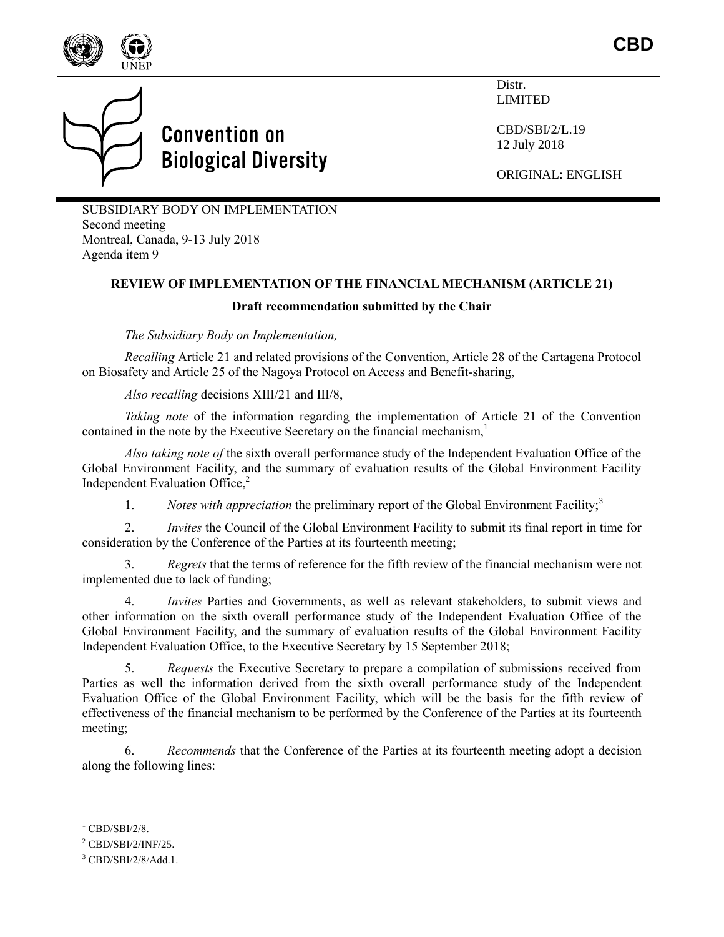



Distr. LIMITED

CBD/SBI/2/L.19 12 July 2018

ORIGINAL: ENGLISH

SUBSIDIARY BODY ON IMPLEMENTATION Second meeting Montreal, Canada, 9-13 July 2018 Agenda item 9

## **REVIEW OF IMPLEMENTATION OF THE FINANCIAL MECHANISM (ARTICLE 21)**

## **Draft recommendation submitted by the Chair**

*The Subsidiary Body on Implementation,*

*Recalling* Article 21 and related provisions of the Convention, Article 28 of the Cartagena Protocol on Biosafety and Article 25 of the Nagoya Protocol on Access and Benefit-sharing,

*Also recalling* decisions XIII/21 and III/8,

*Taking note* of the information regarding the implementation of Article 21 of the Convention contained in the note by the Executive Secretary on the financial mechanism.<sup>1</sup>

*Also taking note of* the sixth overall performance study of the Independent Evaluation Office of the Global Environment Facility, and the summary of evaluation results of the Global Environment Facility Independent Evaluation Office, 2

1. *Notes with appreciation* the preliminary report of the Global Environment Facility;<sup>3</sup>

2. *Invites* the Council of the Global Environment Facility to submit its final report in time for consideration by the Conference of the Parties at its fourteenth meeting;

3. *Regrets* that the terms of reference for the fifth review of the financial mechanism were not implemented due to lack of funding;

4. *Invites* Parties and Governments, as well as relevant stakeholders, to submit views and other information on the sixth overall performance study of the Independent Evaluation Office of the Global Environment Facility, and the summary of evaluation results of the Global Environment Facility Independent Evaluation Office, to the Executive Secretary by 15 September 2018;

5. *Requests* the Executive Secretary to prepare a compilation of submissions received from Parties as well the information derived from the sixth overall performance study of the Independent Evaluation Office of the Global Environment Facility, which will be the basis for the fifth review of effectiveness of the financial mechanism to be performed by the Conference of the Parties at its fourteenth meeting;

6. *Recommends* that the Conference of the Parties at its fourteenth meeting adopt a decision along the following lines:

l  $1$  CBD/SBI/2/8.

 $2$  CBD/SBI/2/INF/25.

<sup>3</sup> CBD/SBI/2/8/Add.1.